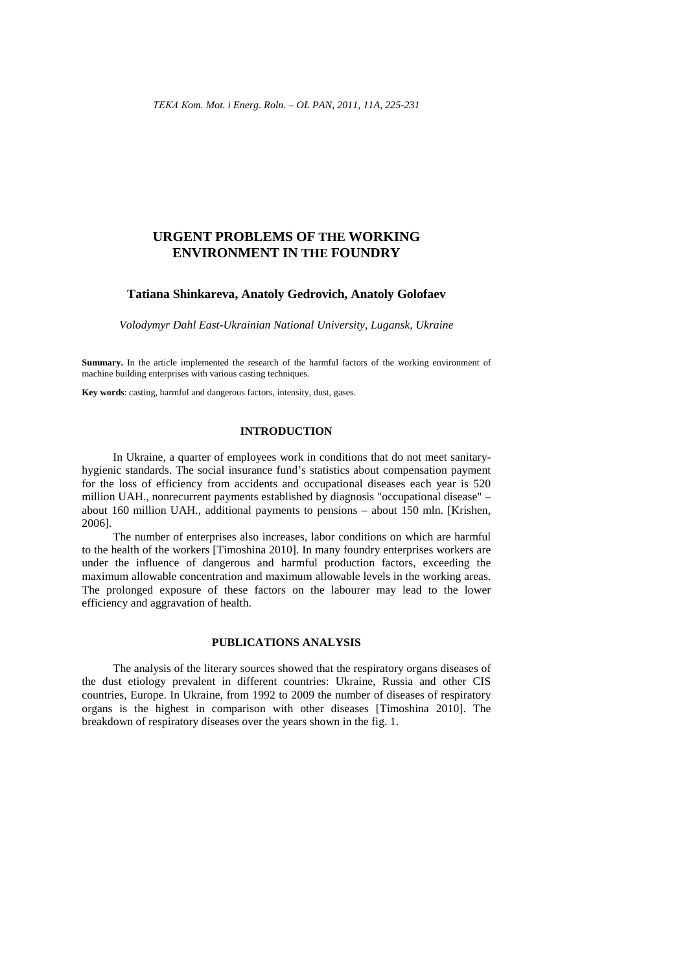# **URGENT PROBLEMS OF THE WORKING ENVIRONMENT IN THE FOUNDRY**

#### **Tatiana Shinkareva, Anatoly Gedrovich, Anatoly Golofaev**

*Volodymyr Dahl East-Ukrainian National University, Lugansk, Ukraine* 

**Summary.** In the article implemented the research of the harmful factors of the working environment of machine building enterprises with various casting techniques.

**Key words**: casting, harmful and dangerous factors, intensity, dust, gases.

# **INTRODUCTION**

In Ukraine, a quarter of employees work in conditions that do not meet sanitaryhygienic standards. The social insurance fund's statistics about compensation payment for the loss of efficiency from accidents and occupational diseases each year is 520 million UAH., nonrecurrent payments established by diagnosis "occupational disease" – about 160 million UAH., additional payments to pensions – about 150 mln. [Krishen, 2006].

The number of enterprises also increases, labor conditions on which are harmful to the health of the workers [Timoshina 2010]. In many foundry enterprises workers are under the influence of dangerous and harmful production factors, exceeding the maximum allowable concentration and maximum allowable levels in the working areas. The prolonged exposure of these factors on the labourer may lead to the lower efficiency and aggravation of health.

# **PUBLICATIONS ANALYSIS**

The analysis of the literary sources showed that the respiratory organs diseases of the dust etiology prevalent in different countries: Ukraine, Russia and other CIS countries, Europe. In Ukraine, from 1992 to 2009 the number of diseases of respiratory organs is the highest in comparison with other diseases [Timoshina 2010]. The breakdown of respiratory diseases over the years shown in the fig. 1.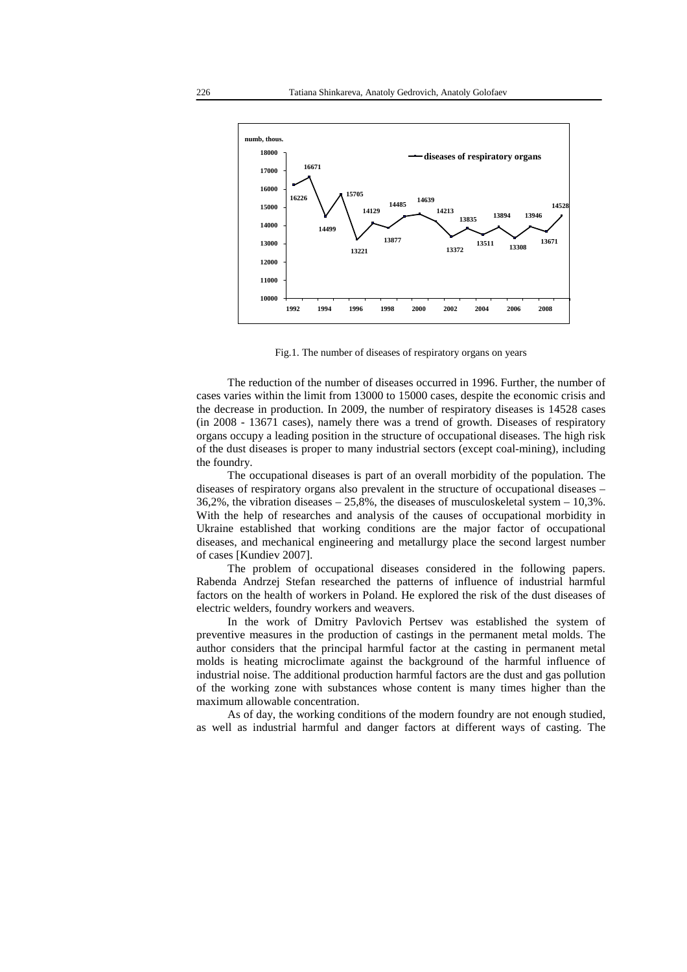

Fig.1. The number of diseases of respiratory organs on years

The reduction of the number of diseases occurred in 1996. Further, the number of cases varies within the limit from 13000 to 15000 cases, despite the economic crisis and the decrease in production. In 2009, the number of respiratory diseases is 14528 cases (in 2008 - 13671 cases), namely there was a trend of growth. Diseases of respiratory organs occupy a leading position in the structure of occupational diseases. The high risk of the dust diseases is proper to many industrial sectors (except coal-mining), including the foundry.

The occupational diseases is part of an overall morbidity of the population. The diseases of respiratory organs also prevalent in the structure of occupational diseases – 36,2%, the vibration diseases – 25,8%, the diseases of musculoskeletal system – 10,3%. With the help of researches and analysis of the causes of occupational morbidity in Ukraine established that working conditions are the major factor of occupational diseases, and mechanical engineering and metallurgy place the second largest number of cases [Kundiev 2007].

The problem of occupational diseases considered in the following papers. Rabenda Andrzej Stefan researched the patterns of influence of industrial harmful factors on the health of workers in Poland. He explored the risk of the dust diseases of electric welders, foundry workers and weavers.

In the work of Dmitry Pavlovich Pertsev was established the system of preventive measures in the production of castings in the permanent metal molds. The author considers that the principal harmful factor at the casting in permanent metal molds is heating microclimate against the background of the harmful influence of industrial noise. The additional production harmful factors are the dust and gas pollution of the working zone with substances whose content is many times higher than the maximum allowable concentration.

As of day, the working conditions of the modern foundry are not enough studied, as well as industrial harmful and danger factors at different ways of casting. The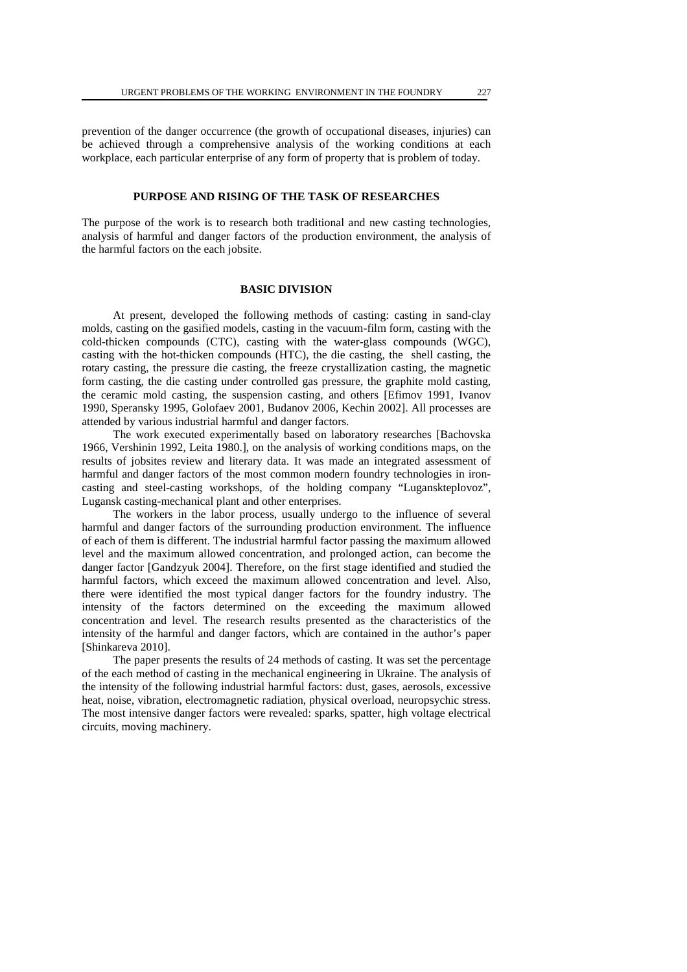prevention of the danger occurrence (the growth of occupational diseases, injuries) can be achieved through a comprehensive analysis of the working conditions at each workplace, each particular enterprise of any form of property that is problem of today.

# **PURPOSE AND RISING OF THE TASK OF RESEARCHES**

The purpose of the work is to research both traditional and new casting technologies, analysis of harmful and danger factors of the production environment, the analysis of the harmful factors on the each jobsite.

## **BASIC DIVISION**

At present, developed the following methods of casting: casting in sand-clay molds, casting on the gasified models, casting in the vacuum-film form, casting with the cold-thicken compounds (CTC), casting with the water-glass compounds (WGC), casting with the hot-thicken compounds (HTC), the die casting, the shell casting, the rotary casting, the pressure die casting, the freeze crystallization casting, the magnetic form casting, the die casting under controlled gas pressure, the graphite mold casting, the ceramic mold casting, the suspension casting, and others [Efimov 1991, Ivanov 1990, Speransky 1995, Golofaev 2001, Budanov 2006, Kechin 2002]. All processes are attended by various industrial harmful and danger factors.

The work executed experimentally based on laboratory researches [Bachovska 1966, Vershinin 1992, Leita 1980.], on the analysis of working conditions maps, on the results of jobsites review and literary data. It was made an integrated assessment of harmful and danger factors of the most common modern foundry technologies in ironcasting and steel-casting workshops, of the holding company "Luganskteplovoz", Lugansk casting-mechanical plant and other enterprises.

The workers in the labor process, usually undergo to the influence of several harmful and danger factors of the surrounding production environment. The influence of each of them is different. The industrial harmful factor passing the maximum allowed level and the maximum allowed concentration, and prolonged action, can become the danger factor [Gandzyuk 2004]. Therefore, on the first stage identified and studied the harmful factors, which exceed the maximum allowed concentration and level. Also, there were identified the most typical danger factors for the foundry industry. The intensity of the factors determined on the exceeding the maximum allowed concentration and level. The research results presented as the characteristics of the intensity of the harmful and danger factors, which are contained in the author's paper [Shinkareva 2010].

The paper presents the results of 24 methods of casting. It was set the percentage of the each method of casting in the mechanical engineering in Ukraine. The analysis of the intensity of the following industrial harmful factors: dust, gases, aerosols, excessive heat, noise, vibration, electromagnetic radiation, physical overload, neuropsychic stress. The most intensive danger factors were revealed: sparks, spatter, high voltage electrical circuits, moving machinery.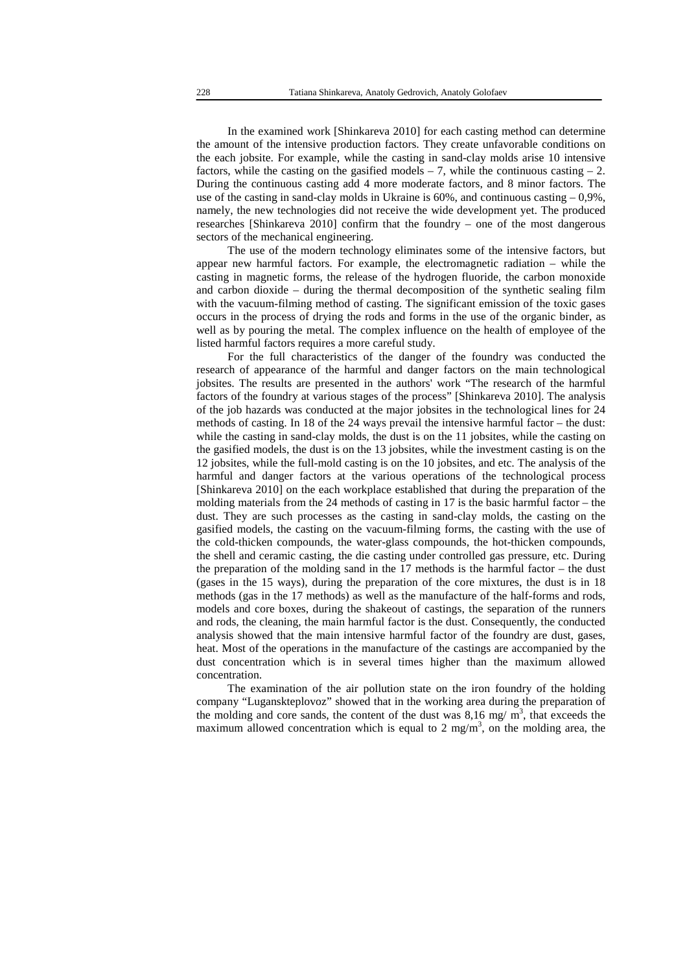In the examined work [Shinkareva 2010] for each casting method can determine the amount of the intensive production factors. They create unfavorable conditions on the each jobsite. For example, while the casting in sand-clay molds arise 10 intensive factors, while the casting on the gasified models  $-7$ , while the continuous casting  $-2$ . During the continuous casting add 4 more moderate factors, and 8 minor factors. The use of the casting in sand-clay molds in Ukraine is  $60\%$ , and continuous casting  $-0.9\%$ . namely, the new technologies did not receive the wide development yet. The produced researches [Shinkareva 2010] confirm that the foundry – one of the most dangerous sectors of the mechanical engineering.

The use of the modern technology eliminates some of the intensive factors, but appear new harmful factors. For example, the electromagnetic radiation – while the casting in magnetic forms, the release of the hydrogen fluoride, the carbon monoxide and carbon dioxide – during the thermal decomposition of the synthetic sealing film with the vacuum-filming method of casting. The significant emission of the toxic gases occurs in the process of drying the rods and forms in the use of the organic binder, as well as by pouring the metal. The complex influence on the health of employee of the listed harmful factors requires a more careful study.

For the full characteristics of the danger of the foundry was conducted the research of appearance of the harmful and danger factors on the main technological jobsites. The results are presented in the authors' work "The research of the harmful factors of the foundry at various stages of the process" [Shinkareva 2010]. The analysis of the job hazards was conducted at the major jobsites in the technological lines for 24 methods of casting. In 18 of the 24 ways prevail the intensive harmful factor – the dust: while the casting in sand-clay molds, the dust is on the 11 jobsites, while the casting on the gasified models, the dust is on the 13 jobsites, while the investment casting is on the 12 jobsites, while the full-mold casting is on the 10 jobsites, and etc. The analysis of the harmful and danger factors at the various operations of the technological process [Shinkareva 2010] on the each workplace established that during the preparation of the molding materials from the 24 methods of casting in 17 is the basic harmful factor – the dust. They are such processes as the casting in sand-clay molds, the casting on the gasified models, the casting on the vacuum-filming forms, the casting with the use of the cold-thicken compounds, the water-glass compounds, the hot-thicken compounds, the shell and ceramic casting, the die casting under controlled gas pressure, etc. During the preparation of the molding sand in the 17 methods is the harmful factor – the dust (gases in the 15 ways), during the preparation of the core mixtures, the dust is in 18 methods (gas in the 17 methods) as well as the manufacture of the half-forms and rods, models and core boxes, during the shakeout of castings, the separation of the runners and rods, the cleaning, the main harmful factor is the dust. Consequently, the conducted analysis showed that the main intensive harmful factor of the foundry are dust, gases, heat. Most of the operations in the manufacture of the castings are accompanied by the dust concentration which is in several times higher than the maximum allowed concentration.

The examination of the air pollution state on the iron foundry of the holding company "Luganskteplovoz" showed that in the working area during the preparation of the molding and core sands, the content of the dust was  $8,16$  mg/m<sup>3</sup>, that exceeds the maximum allowed concentration which is equal to 2 mg/m<sup>3</sup>, on the molding area, the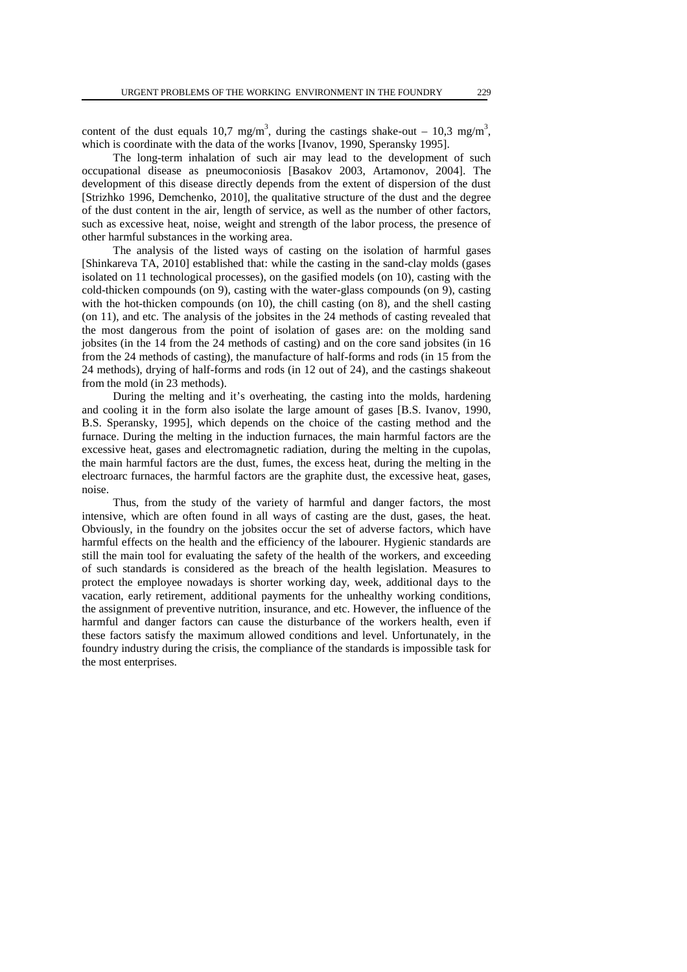content of the dust equals 10,7 mg/m<sup>3</sup>, during the castings shake-out – 10,3 mg/m<sup>3</sup>, which is coordinate with the data of the works [Ivanov, 1990, Speransky 1995].

The long-term inhalation of such air may lead to the development of such occupational disease as pneumoconiosis [Basakov 2003, Artamonov, 2004]. The development of this disease directly depends from the extent of dispersion of the dust [Strizhko 1996, Demchenko, 2010], the qualitative structure of the dust and the degree of the dust content in the air, length of service, as well as the number of other factors, such as excessive heat, noise, weight and strength of the labor process, the presence of other harmful substances in the working area.

The analysis of the listed ways of casting on the isolation of harmful gases [Shinkareva TA, 2010] established that: while the casting in the sand-clay molds (gases isolated on 11 technological processes), on the gasified models (on 10), casting with the cold-thicken compounds (on 9), casting with the water-glass compounds (on 9), casting with the hot-thicken compounds (on 10), the chill casting (on 8), and the shell casting (on 11), and etc. The analysis of the jobsites in the 24 methods of casting revealed that the most dangerous from the point of isolation of gases are: on the molding sand jobsites (in the 14 from the 24 methods of casting) and on the core sand jobsites (in 16 from the 24 methods of casting), the manufacture of half-forms and rods (in 15 from the 24 methods), drying of half-forms and rods (in 12 out of 24), and the castings shakeout from the mold (in 23 methods).

During the melting and it's overheating, the casting into the molds, hardening and cooling it in the form also isolate the large amount of gases [B.S. Ivanov, 1990, B.S. Speransky, 1995], which depends on the choice of the casting method and the furnace. During the melting in the induction furnaces, the main harmful factors are the excessive heat, gases and electromagnetic radiation, during the melting in the cupolas, the main harmful factors are the dust, fumes, the excess heat, during the melting in the electroarc furnaces, the harmful factors are the graphite dust, the excessive heat, gases, noise.

Thus, from the study of the variety of harmful and danger factors, the most intensive, which are often found in all ways of casting are the dust, gases, the heat. Obviously, in the foundry on the jobsites occur the set of adverse factors, which have harmful effects on the health and the efficiency of the labourer. Hygienic standards are still the main tool for evaluating the safety of the health of the workers, and exceeding of such standards is considered as the breach of the health legislation. Measures to protect the employee nowadays is shorter working day, week, additional days to the vacation, early retirement, additional payments for the unhealthy working conditions, the assignment of preventive nutrition, insurance, and etc. However, the influence of the harmful and danger factors can cause the disturbance of the workers health, even if these factors satisfy the maximum allowed conditions and level. Unfortunately, in the foundry industry during the crisis, the compliance of the standards is impossible task for the most enterprises.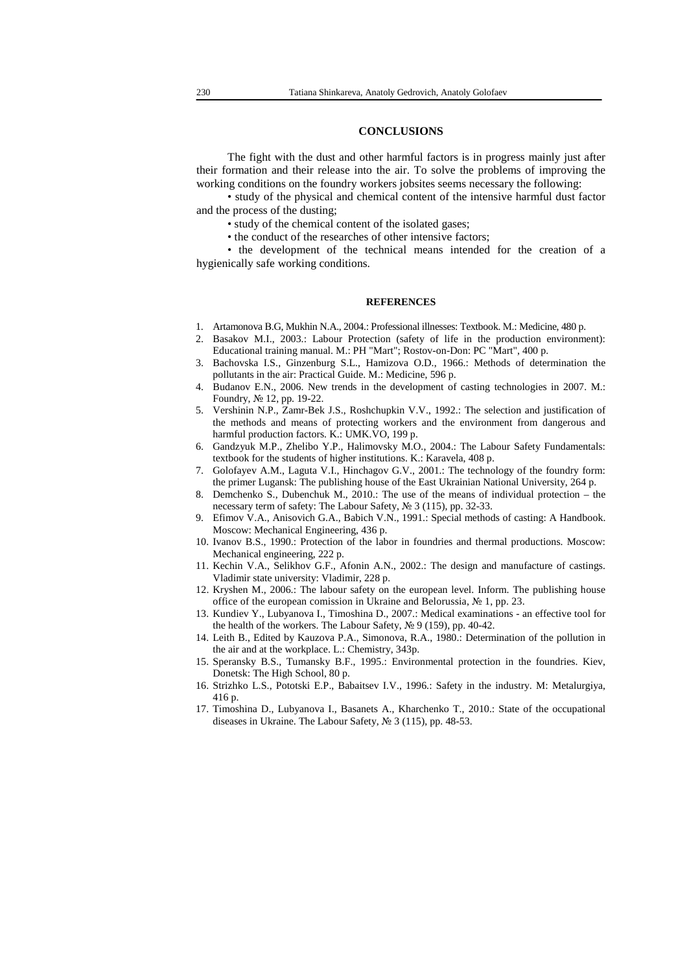## **CONCLUSIONS**

The fight with the dust and other harmful factors is in progress mainly just after their formation and their release into the air. To solve the problems of improving the working conditions on the foundry workers jobsites seems necessary the following:

• study of the physical and chemical content of the intensive harmful dust factor and the process of the dusting;

- study of the chemical content of the isolated gases;
- the conduct of the researches of other intensive factors;

• the development of the technical means intended for the creation of a hygienically safe working conditions.

#### **REFERENCES**

- 1. Artamonova В.G, Mukhin N.A., 2004.: Professional illnesses: Textbook. М.: Medicine, 480 p.
- 2. Basakov M.I., 2003.: Labour Protection (safety of life in the production environment): Educational training manual. M.: PH "Mart"; Rostov-on-Don: PC "Mart", 400 p.
- 3. Bachovska I.S., Ginzenburg S.L., Hamizova O.D., 1966.: Methods of determination the pollutants in the air: Practical Guide. M.: Medicine, 596 p.
- 4. Budanov E.N., 2006. New trends in the development of casting technologies in 2007. M.: Foundry, № 12, pp. 19-22.
- 5. Vershinin N.P., Zamr-Bek J.S., Roshchupkin V.V., 1992.: The selection and justification of the methods and means of protecting workers and the environment from dangerous and harmful production factors. K.: UMK.VO, 199 p.
- 6. Gandzyuk M.P., Zhelіbo Y.P., Halіmovsky M.O., 2004.: The Labour Safety Fundamentals: textbook for the students of higher institutions. K.: Karavela, 408 p.
- 7. Golofayev A.M., Laguta V.І., Hіnchagov G.V., 2001.: The technology of the foundry form: the primer Lugansk: The publishing house of the East Ukrainian National University, 264 p.
- 8. Demchenko S., Dubenchuk M., 2010.: The use of the means of individual protection the necessary term of safety: The Labour Safety, № 3 (115), pp. 32-33.
- 9. Efimov V.A., Anisovich G.A., Babich V.N., 1991.: Special methods of casting: A Handbook. Moscow: Mechanical Engineering, 436 p.
- 10. Ivanov B.S., 1990.: Protection of the labor in foundries and thermal productions. Moscow: Mechanical engineering, 222 p.
- 11. Kechin V.A., Selikhov G.F., Afonin A.N., 2002.: The design and manufacture of castings. Vladimir state university: Vladimir, 228 p.
- 12. Kryshen M., 2006.: The labour safety on the european level. Іnform. The publishing house office of the european comission in Ukraine and Belorussia, № 1, pp. 23.
- 13. Kundiev Y., Lubyanova I., Timoshina D., 2007.: Medical examinations an effective tool for the health of the workers. The Labour Safety, № 9 (159), pp. 40-42.
- 14. Leith B., Edited by Kauzova P.A., Simonova, R.A., 1980.: Determination of the pollution in the air and at the workplace. L.: Chemistry, 343p.
- 15. Speransky B.S., Tumansky B.F., 1995.: Environmental protection in the foundries. Kiev, Donetsk: The High School, 80 p.
- 16. Strizhko L.S., Pototski E.P., Babaitsev I.V., 1996.: Safety in the industry. M: Metalurgіya, 416 p.
- 17. Tіmoshina D., Lubyanova I., Basanets A., Kharchenko T., 2010.: State of the occupational diseases in Ukraіne. The Labour Safety, № 3 (115), pp. 48-53.